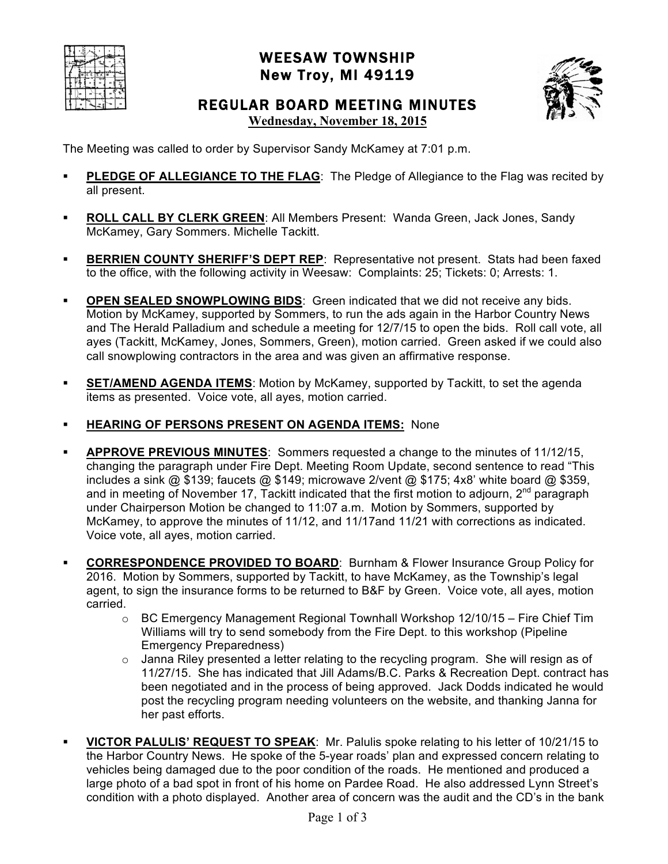|  |  | ₩ |    |
|--|--|---|----|
|  |  |   | ×, |
|  |  |   |    |
|  |  |   |    |

## WEESAW TOWNSHIP New Troy, MI 49119



# REGULAR BOARD MEETING MINUTES

**Wednesday, November 18, 2015**

The Meeting was called to order by Supervisor Sandy McKamey at 7:01 p.m.

- **PLEDGE OF ALLEGIANCE TO THE FLAG**: The Pledge of Allegiance to the Flag was recited by all present.
- **ROLL CALL BY CLERK GREEN**: All Members Present: Wanda Green, Jack Jones, Sandy McKamey, Gary Sommers. Michelle Tackitt.
- **BERRIEN COUNTY SHERIFF'S DEPT REP:** Representative not present. Stats had been faxed to the office, with the following activity in Weesaw: Complaints: 25; Tickets: 0; Arrests: 1.
- **OPEN SEALED SNOWPLOWING BIDS**: Green indicated that we did not receive any bids. Motion by McKamey, supported by Sommers, to run the ads again in the Harbor Country News and The Herald Palladium and schedule a meeting for 12/7/15 to open the bids. Roll call vote, all ayes (Tackitt, McKamey, Jones, Sommers, Green), motion carried. Green asked if we could also call snowplowing contractors in the area and was given an affirmative response.
- **SET/AMEND AGENDA ITEMS:** Motion by McKamey, supported by Tackitt, to set the agenda items as presented. Voice vote, all ayes, motion carried.
- **HEARING OF PERSONS PRESENT ON AGENDA ITEMS: None**
- **APPROVE PREVIOUS MINUTES**: Sommers requested a change to the minutes of 11/12/15, changing the paragraph under Fire Dept. Meeting Room Update, second sentence to read "This includes a sink @ \$139; faucets @ \$149; microwave 2/vent @ \$175; 4x8' white board @ \$359, and in meeting of November 17, Tackitt indicated that the first motion to adjourn,  $2<sup>nd</sup>$  paragraph under Chairperson Motion be changed to 11:07 a.m. Motion by Sommers, supported by McKamey, to approve the minutes of 11/12, and 11/17and 11/21 with corrections as indicated. Voice vote, all ayes, motion carried.
- **CORRESPONDENCE PROVIDED TO BOARD**: Burnham & Flower Insurance Group Policy for 2016. Motion by Sommers, supported by Tackitt, to have McKamey, as the Township's legal agent, to sign the insurance forms to be returned to B&F by Green. Voice vote, all ayes, motion carried.
	- o BC Emergency Management Regional Townhall Workshop 12/10/15 Fire Chief Tim Williams will try to send somebody from the Fire Dept. to this workshop (Pipeline Emergency Preparedness)
	- $\circ$  Janna Riley presented a letter relating to the recycling program. She will resign as of 11/27/15. She has indicated that Jill Adams/B.C. Parks & Recreation Dept. contract has been negotiated and in the process of being approved. Jack Dodds indicated he would post the recycling program needing volunteers on the website, and thanking Janna for her past efforts.
- **VICTOR PALULIS' REQUEST TO SPEAK**: Mr. Palulis spoke relating to his letter of 10/21/15 to the Harbor Country News. He spoke of the 5-year roads' plan and expressed concern relating to vehicles being damaged due to the poor condition of the roads. He mentioned and produced a large photo of a bad spot in front of his home on Pardee Road. He also addressed Lynn Street's condition with a photo displayed. Another area of concern was the audit and the CD's in the bank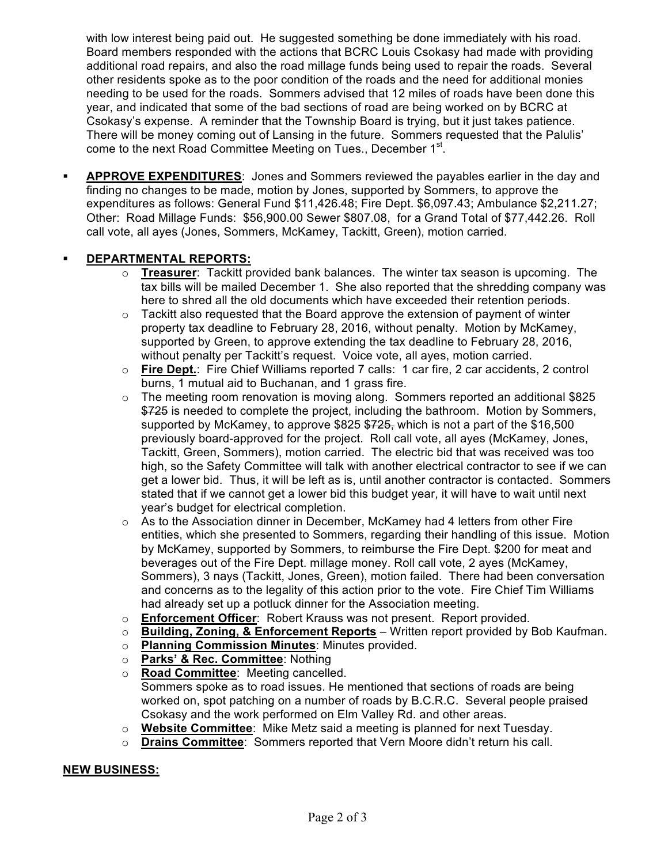with low interest being paid out. He suggested something be done immediately with his road. Board members responded with the actions that BCRC Louis Csokasy had made with providing additional road repairs, and also the road millage funds being used to repair the roads. Several other residents spoke as to the poor condition of the roads and the need for additional monies needing to be used for the roads. Sommers advised that 12 miles of roads have been done this year, and indicated that some of the bad sections of road are being worked on by BCRC at Csokasy's expense. A reminder that the Township Board is trying, but it just takes patience. There will be money coming out of Lansing in the future. Sommers requested that the Palulis' come to the next Road Committee Meeting on Tues., December 1<sup>st</sup>.

 **APPROVE EXPENDITURES**: Jones and Sommers reviewed the payables earlier in the day and finding no changes to be made, motion by Jones, supported by Sommers, to approve the expenditures as follows: General Fund \$11,426.48; Fire Dept. \$6,097.43; Ambulance \$2,211.27; Other: Road Millage Funds: \$56,900.00 Sewer \$807.08, for a Grand Total of \$77,442.26. Roll call vote, all ayes (Jones, Sommers, McKamey, Tackitt, Green), motion carried.

### **DEPARTMENTAL REPORTS:**

- o **Treasurer**: Tackitt provided bank balances. The winter tax season is upcoming. The tax bills will be mailed December 1. She also reported that the shredding company was here to shred all the old documents which have exceeded their retention periods.
- $\circ$  Tackitt also requested that the Board approve the extension of payment of winter property tax deadline to February 28, 2016, without penalty. Motion by McKamey, supported by Green, to approve extending the tax deadline to February 28, 2016, without penalty per Tackitt's request. Voice vote, all ayes, motion carried.
- o **Fire Dept.**: Fire Chief Williams reported 7 calls: 1 car fire, 2 car accidents, 2 control burns, 1 mutual aid to Buchanan, and 1 grass fire.
- $\circ$  The meeting room renovation is moving along. Sommers reported an additional \$825 \$725 is needed to complete the project, including the bathroom. Motion by Sommers, supported by McKamey, to approve \$825 \$725, which is not a part of the \$16,500 previously board-approved for the project. Roll call vote, all ayes (McKamey, Jones, Tackitt, Green, Sommers), motion carried. The electric bid that was received was too high, so the Safety Committee will talk with another electrical contractor to see if we can get a lower bid. Thus, it will be left as is, until another contractor is contacted. Sommers stated that if we cannot get a lower bid this budget year, it will have to wait until next year's budget for electrical completion.
- $\circ$  As to the Association dinner in December, McKamey had 4 letters from other Fire entities, which she presented to Sommers, regarding their handling of this issue. Motion by McKamey, supported by Sommers, to reimburse the Fire Dept. \$200 for meat and beverages out of the Fire Dept. millage money. Roll call vote, 2 ayes (McKamey, Sommers), 3 nays (Tackitt, Jones, Green), motion failed. There had been conversation and concerns as to the legality of this action prior to the vote. Fire Chief Tim Williams had already set up a potluck dinner for the Association meeting.
- o **Enforcement Officer**: Robert Krauss was not present. Report provided.
- o **Building, Zoning, & Enforcement Reports** Written report provided by Bob Kaufman.
- o **Planning Commission Minutes**: Minutes provided.
- o **Parks' & Rec. Committee**: Nothing
- o **Road Committee**: Meeting cancelled. Sommers spoke as to road issues. He mentioned that sections of roads are being worked on, spot patching on a number of roads by B.C.R.C. Several people praised Csokasy and the work performed on Elm Valley Rd. and other areas.
- o **Website Committee**: Mike Metz said a meeting is planned for next Tuesday.
- o **Drains Committee**: Sommers reported that Vern Moore didn't return his call.

#### **NEW BUSINESS:**